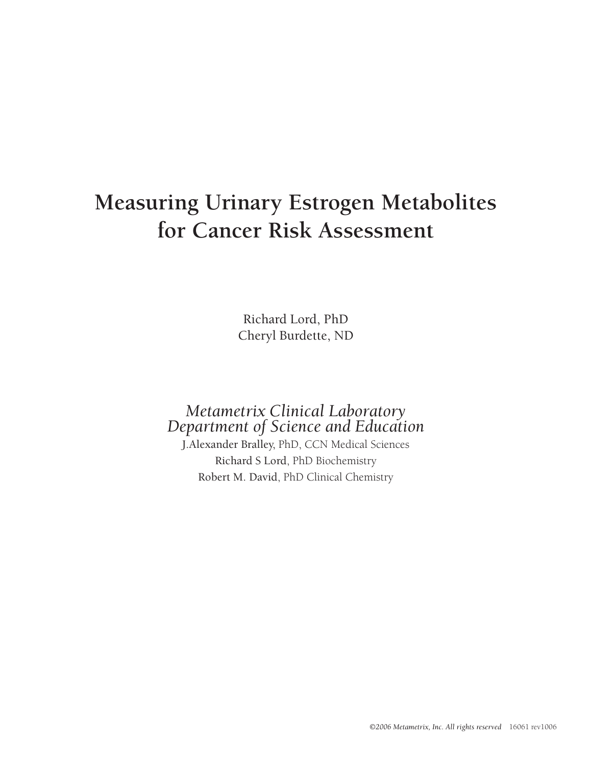## **Measuring Urinary Estrogen Metabolites for Cancer Risk Assessment**

Richard Lord, PhD Cheryl Burdette, ND

# *Metametrix Clinical Laboratory Department of Science and Education*

J.Alexander Bralley, PhD, CCN Medical Sciences Richard S Lord, PhD Biochemistry Robert M. David, PhD Clinical Chemistry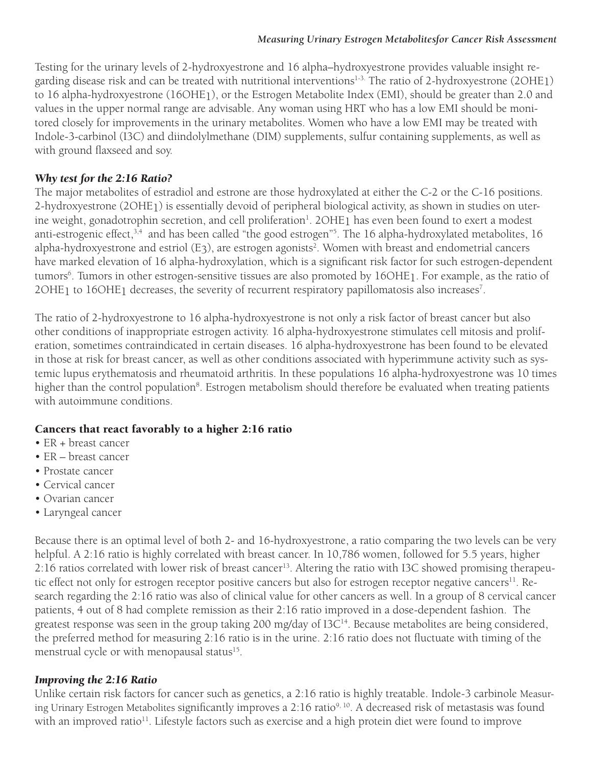Testing for the urinary levels of 2-hydroxyestrone and 16 alpha–hydroxyestrone provides valuable insight regarding disease risk and can be treated with nutritional interventions<sup>1-3.</sup> The ratio of 2-hydroxyestrone (2OHE1) to 16 alpha-hydroxyestrone (16OHE1), or the Estrogen Metabolite Index (EMI), should be greater than 2.0 and values in the upper normal range are advisable. Any woman using HRT who has a low EMI should be monitored closely for improvements in the urinary metabolites. Women who have a low EMI may be treated with Indole-3-carbinol (I3C) and diindolylmethane (DIM) supplements, sulfur containing supplements, as well as with ground flaxseed and soy.

### *Why test for the 2:16 Ratio?*

The major metabolites of estradiol and estrone are those hydroxylated at either the C-2 or the C-16 positions. 2-hydroxyestrone (2OHE1) is essentially devoid of peripheral biological activity, as shown in studies on uterine weight, gonadotrophin secretion, and cell proliferation<sup>1</sup>. 2OHE<sub>1</sub> has even been found to exert a modest anti-estrogenic effect,<sup>3,4</sup> and has been called "the good estrogen"<sup>5</sup>. The 16 alpha-hydroxylated metabolites, 16 alpha-hydroxyestrone and estriol (E3), are estrogen agonists<sup>2</sup>. Women with breast and endometrial cancers have marked elevation of 16 alpha-hydroxylation, which is a significant risk factor for such estrogen-dependent tumors<sup>6</sup>. Tumors in other estrogen-sensitive tissues are also promoted by 16OHE<sub>1</sub>. For example, as the ratio of 2OHE<sub>1</sub> to 16OHE<sub>1</sub> decreases, the severity of recurrent respiratory papillomatosis also increases<sup>7</sup>.

The ratio of 2-hydroxyestrone to 16 alpha-hydroxyestrone is not only a risk factor of breast cancer but also other conditions of inappropriate estrogen activity. 16 alpha-hydroxyestrone stimulates cell mitosis and proliferation, sometimes contraindicated in certain diseases. 16 alpha-hydroxyestrone has been found to be elevated in those at risk for breast cancer, as well as other conditions associated with hyperimmune activity such as systemic lupus erythematosis and rheumatoid arthritis. In these populations 16 alpha-hydroxyestrone was 10 times higher than the control population<sup>8</sup>. Estrogen metabolism should therefore be evaluated when treating patients with autoimmune conditions.

### Cancers that react favorably to a higher 2:16 ratio

- ER + breast cancer
- ER breast cancer
- Prostate cancer
- Cervical cancer
- Ovarian cancer
- Laryngeal cancer

Because there is an optimal level of both 2- and 16-hydroxyestrone, a ratio comparing the two levels can be very helpful. A 2:16 ratio is highly correlated with breast cancer. In 10,786 women, followed for 5.5 years, higher 2:16 ratios correlated with lower risk of breast cancer<sup>13</sup>. Altering the ratio with I3C showed promising therapeutic effect not only for estrogen receptor positive cancers but also for estrogen receptor negative cancers<sup>11</sup>. Research regarding the 2:16 ratio was also of clinical value for other cancers as well. In a group of 8 cervical cancer patients, 4 out of 8 had complete remission as their 2:16 ratio improved in a dose-dependent fashion. The greatest response was seen in the group taking 200 mg/day of  $13C<sup>14</sup>$ . Because metabolites are being considered, the preferred method for measuring 2:16 ratio is in the urine. 2:16 ratio does not fluctuate with timing of the menstrual cycle or with menopausal status<sup>15</sup>.

### *Improving the 2:16 Ratio*

Unlike certain risk factors for cancer such as genetics, a 2:16 ratio is highly treatable. Indole-3 carbinole Measuring Urinary Estrogen Metabolites significantly improves a 2:16 ratio<sup>9, 10</sup>. A decreased risk of metastasis was found with an improved ratio<sup>11</sup>. Lifestyle factors such as exercise and a high protein diet were found to improve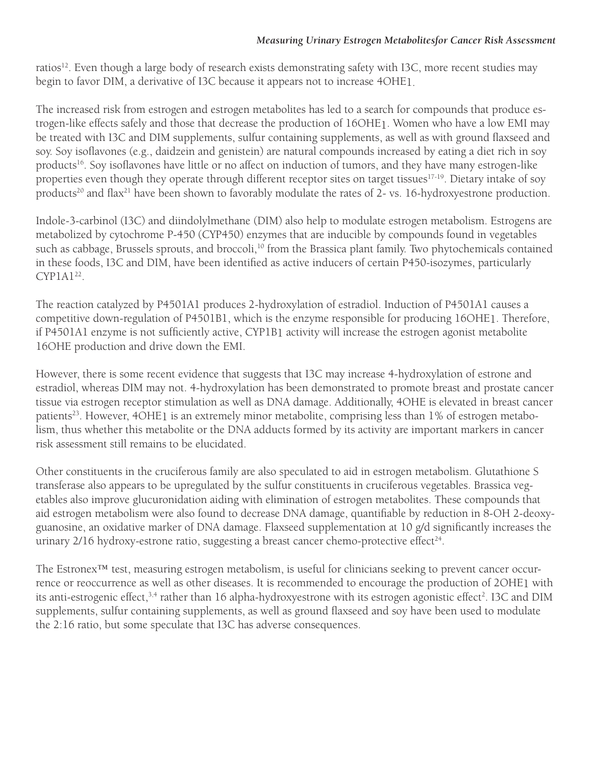#### *Measuring Urinary Estrogen Metabolitesfor Cancer Risk Assessment*

ratios<sup>12</sup>. Even though a large body of research exists demonstrating safety with I3C, more recent studies may begin to favor DIM, a derivative of I3C because it appears not to increase 4OHE1.

The increased risk from estrogen and estrogen metabolites has led to a search for compounds that produce estrogen-like effects safely and those that decrease the production of 16OHE1. Women who have a low EMI may be treated with I3C and DIM supplements, sulfur containing supplements, as well as with ground flaxseed and soy. Soy isoflavones (e.g., daidzein and genistein) are natural compounds increased by eating a diet rich in soy products<sup>16</sup>. Soy isoflavones have little or no affect on induction of tumors, and they have many estrogen-like properties even though they operate through different receptor sites on target tissues<sup>17-19</sup>. Dietary intake of soy products<sup>20</sup> and flax<sup>21</sup> have been shown to favorably modulate the rates of 2- vs. 16-hydroxyestrone production.

Indole-3-carbinol (I3C) and diindolylmethane (DIM) also help to modulate estrogen metabolism. Estrogens are metabolized by cytochrome P-450 (CYP450) enzymes that are inducible by compounds found in vegetables such as cabbage, Brussels sprouts, and broccoli,<sup>10</sup> from the Brassica plant family. Two phytochemicals contained in these foods, I3C and DIM, have been identified as active inducers of certain P450-isozymes, particularly  $CYP1A1<sup>22</sup>$ .

The reaction catalyzed by P4501A1 produces 2-hydroxylation of estradiol. Induction of P4501A1 causes a competitive down-regulation of P4501B1, which is the enzyme responsible for producing 16OHE1. Therefore, if P4501A1 enzyme is not sufficiently active, CYP1B1 activity will increase the estrogen agonist metabolite 16OHE production and drive down the EMI.

However, there is some recent evidence that suggests that I3C may increase 4-hydroxylation of estrone and estradiol, whereas DIM may not. 4-hydroxylation has been demonstrated to promote breast and prostate cancer tissue via estrogen receptor stimulation as well as DNA damage. Additionally, 4OHE is elevated in breast cancer patients<sup>23</sup>. However, 4OHE1 is an extremely minor metabolite, comprising less than 1% of estrogen metabolism, thus whether this metabolite or the DNA adducts formed by its activity are important markers in cancer risk assessment still remains to be elucidated.

Other constituents in the cruciferous family are also speculated to aid in estrogen metabolism. Glutathione S transferase also appears to be upregulated by the sulfur constituents in cruciferous vegetables. Brassica vegetables also improve glucuronidation aiding with elimination of estrogen metabolites. These compounds that aid estrogen metabolism were also found to decrease DNA damage, quantifiable by reduction in 8-OH 2-deoxyguanosine, an oxidative marker of DNA damage. Flaxseed supplementation at 10 g/d significantly increases the urinary  $2/16$  hydroxy-estrone ratio, suggesting a breast cancer chemo-protective effect $24$ .

The Estronex™ test, measuring estrogen metabolism, is useful for clinicians seeking to prevent cancer occurrence or reoccurrence as well as other diseases. It is recommended to encourage the production of 2OHE1 with its anti-estrogenic effect,<sup>3,4</sup> rather than 16 alpha-hydroxyestrone with its estrogen agonistic effect<sup>2</sup>. I3C and DIM supplements, sulfur containing supplements, as well as ground flaxseed and soy have been used to modulate the 2:16 ratio, but some speculate that I3C has adverse consequences.